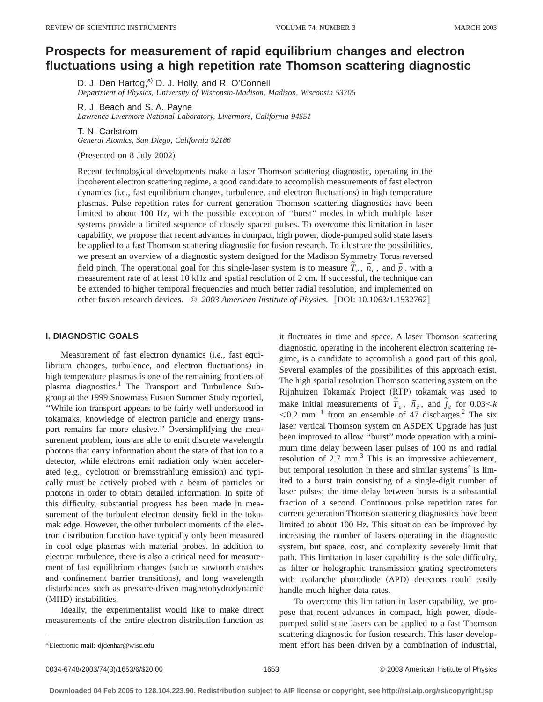# **Prospects for measurement of rapid equilibrium changes and electron fluctuations using a high repetition rate Thomson scattering diagnostic**

D. J. Den Hartog,<sup>a)</sup> D. J. Holly, and R. O'Connell *Department of Physics, University of Wisconsin-Madison, Madison, Wisconsin 53706*

*Lawrence Livermore National Laboratory, Livermore, California 94551* T. N. Carlstrom

*General Atomics, San Diego, California 92186*

(Presented on 8 July 2002)

R. J. Beach and S. A. Payne

Recent technological developments make a laser Thomson scattering diagnostic, operating in the incoherent electron scattering regime, a good candidate to accomplish measurements of fast electron dynamics (i.e., fast equilibrium changes, turbulence, and electron fluctuations) in high temperature plasmas. Pulse repetition rates for current generation Thomson scattering diagnostics have been limited to about 100 Hz, with the possible exception of ''burst'' modes in which multiple laser systems provide a limited sequence of closely spaced pulses. To overcome this limitation in laser capability, we propose that recent advances in compact, high power, diode-pumped solid state lasers be applied to a fast Thomson scattering diagnostic for fusion research. To illustrate the possibilities, we present an overview of a diagnostic system designed for the Madison Symmetry Torus reversed field pinch. The operational goal for this single-laser system is to measure  $\tilde{T}_e$ ,  $\tilde{n}_e$ , and  $\tilde{p}_e$  with a measurement rate of at least 10 kHz and spatial resolution of 2 cm. If successful, the technique can be extended to higher temporal frequencies and much better radial resolution, and implemented on other fusion research devices. © 2003 American Institute of Physics. [DOI: 10.1063/1.1532762]

# **I. DIAGNOSTIC GOALS**

Measurement of fast electron dynamics (i.e., fast equilibrium changes, turbulence, and electron fluctuations) in high temperature plasmas is one of the remaining frontiers of plasma diagnostics.<sup>1</sup> The Transport and Turbulence Subgroup at the 1999 Snowmass Fusion Summer Study reported, ''While ion transport appears to be fairly well understood in tokamaks, knowledge of electron particle and energy transport remains far more elusive.'' Oversimplifying the measurement problem, ions are able to emit discrete wavelength photons that carry information about the state of that ion to a detector, while electrons emit radiation only when accelerated (e.g., cyclotron or bremsstrahlung emission) and typically must be actively probed with a beam of particles or photons in order to obtain detailed information. In spite of this difficulty, substantial progress has been made in measurement of the turbulent electron density field in the tokamak edge. However, the other turbulent moments of the electron distribution function have typically only been measured in cool edge plasmas with material probes. In addition to electron turbulence, there is also a critical need for measurement of fast equilibrium changes (such as sawtooth crashes and confinement barrier transitions), and long wavelength disturbances such as pressure-driven magnetohydrodynamic (MHD) instabilities.

Ideally, the experimentalist would like to make direct measurements of the entire electron distribution function as

it fluctuates in time and space. A laser Thomson scattering diagnostic, operating in the incoherent electron scattering regime, is a candidate to accomplish a good part of this goal. Several examples of the possibilities of this approach exist. The high spatial resolution Thomson scattering system on the Rijnhuizen Tokamak Project (RTP) tokamak was used to make initial measurements of  $\tilde{T}_e$ ,  $\tilde{n}_e$ , and  $\tilde{j}_e$  for 0.03 km  $<$ 0.2 mm<sup>-1</sup> from an ensemble of 47 discharges.<sup>2</sup> The six laser vertical Thomson system on ASDEX Upgrade has just been improved to allow ''burst'' mode operation with a minimum time delay between laser pulses of 100 ns and radial resolution of 2.7 mm.<sup>3</sup> This is an impressive achievement, but temporal resolution in these and similar systems<sup>4</sup> is limited to a burst train consisting of a single-digit number of laser pulses; the time delay between bursts is a substantial fraction of a second. Continuous pulse repetition rates for current generation Thomson scattering diagnostics have been limited to about 100 Hz. This situation can be improved by increasing the number of lasers operating in the diagnostic system, but space, cost, and complexity severely limit that path. This limitation in laser capability is the sole difficulty, as filter or holographic transmission grating spectrometers with avalanche photodiode (APD) detectors could easily handle much higher data rates.

To overcome this limitation in laser capability, we propose that recent advances in compact, high power, diodepumped solid state lasers can be applied to a fast Thomson scattering diagnostic for fusion research. This laser development effort has been driven by a combination of industrial,

Electronic mail: djdenhar@wisc.edu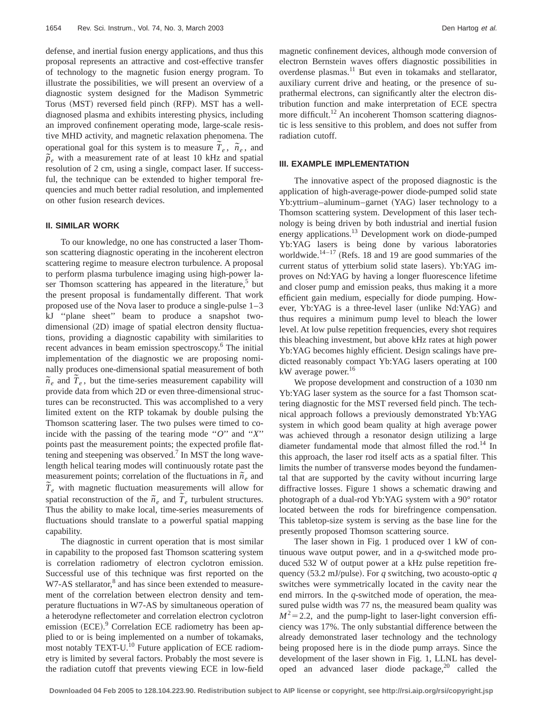defense, and inertial fusion energy applications, and thus this proposal represents an attractive and cost-effective transfer of technology to the magnetic fusion energy program. To illustrate the possibilities, we will present an overview of a diagnostic system designed for the Madison Symmetric Torus (MST) reversed field pinch (RFP). MST has a welldiagnosed plasma and exhibits interesting physics, including an improved confinement operating mode, large-scale resistive MHD activity, and magnetic relaxation phenomena. The operational goal for this system is to measure  $\tilde{T}_e$ ,  $\tilde{n}_e$ , and  $\tilde{p}_e$  with a measurement rate of at least 10 kHz and spatial resolution of 2 cm, using a single, compact laser. If successful, the technique can be extended to higher temporal frequencies and much better radial resolution, and implemented on other fusion research devices.

# **II. SIMILAR WORK**

To our knowledge, no one has constructed a laser Thomson scattering diagnostic operating in the incoherent electron scattering regime to measure electron turbulence. A proposal to perform plasma turbulence imaging using high-power laser Thomson scattering has appeared in the literature, $5$  but the present proposal is fundamentally different. That work proposed use of the Nova laser to produce a single-pulse 1–3 kJ ''plane sheet'' beam to produce a snapshot twodimensional (2D) image of spatial electron density fluctuations, providing a diagnostic capability with similarities to recent advances in beam emission spectroscopy.<sup>6</sup> The initial implementation of the diagnostic we are proposing nominally produces one-dimensional spatial measurement of both  $\tilde{n}_e$  and  $\tilde{T}_e$ , but the time-series measurement capability will provide data from which 2D or even three-dimensional structures can be reconstructed. This was accomplished to a very limited extent on the RTP tokamak by double pulsing the Thomson scattering laser. The two pulses were timed to coincide with the passing of the tearing mode ''*O*'' and ''*X*'' points past the measurement points; the expected profile flattening and steepening was observed.<sup>7</sup> In MST the long wavelength helical tearing modes will continuously rotate past the measurement points; correlation of the fluctuations in  $\tilde{n}_e$  and  $\tilde{T}_e$  with magnetic fluctuation measurements will allow for spatial reconstruction of the  $\tilde{n}_e$  and  $\tilde{T}_e$  turbulent structures. Thus the ability to make local, time-series measurements of fluctuations should translate to a powerful spatial mapping capability.

The diagnostic in current operation that is most similar in capability to the proposed fast Thomson scattering system is correlation radiometry of electron cyclotron emission. Successful use of this technique was first reported on the W7-AS stellarator,<sup>8</sup> and has since been extended to measurement of the correlation between electron density and temperature fluctuations in W7-AS by simultaneous operation of a heterodyne reflectometer and correlation electron cyclotron emission (ECE).<sup>9</sup> Correlation ECE radiometry has been applied to or is being implemented on a number of tokamaks, most notably TEXT-U.<sup>10</sup> Future application of ECE radiometry is limited by several factors. Probably the most severe is the radiation cutoff that prevents viewing ECE in low-field magnetic confinement devices, although mode conversion of electron Bernstein waves offers diagnostic possibilities in overdense plasmas.11 But even in tokamaks and stellarator, auxiliary current drive and heating, or the presence of suprathermal electrons, can significantly alter the electron distribution function and make interpretation of ECE spectra more difficult.<sup>12</sup> An incoherent Thomson scattering diagnostic is less sensitive to this problem, and does not suffer from radiation cutoff.

#### **III. EXAMPLE IMPLEMENTATION**

The innovative aspect of the proposed diagnostic is the application of high-average-power diode-pumped solid state Yb:yttrium–aluminum–garnet (YAG) laser technology to a Thomson scattering system. Development of this laser technology is being driven by both industrial and inertial fusion energy applications.<sup>13</sup> Development work on diode-pumped Yb:YAG lasers is being done by various laboratories worldwide. $14-17$  (Refs. 18 and 19 are good summaries of the current status of ytterbium solid state lasers). Yb:YAG improves on Nd:YAG by having a longer fluorescence lifetime and closer pump and emission peaks, thus making it a more efficient gain medium, especially for diode pumping. However, Yb:YAG is a three-level laser (unlike Nd:YAG) and thus requires a minimum pump level to bleach the lower level. At low pulse repetition frequencies, every shot requires this bleaching investment, but above kHz rates at high power Yb:YAG becomes highly efficient. Design scalings have predicted reasonably compact Yb:YAG lasers operating at 100 kW average power.<sup>16</sup>

We propose development and construction of a 1030 nm Yb:YAG laser system as the source for a fast Thomson scattering diagnostic for the MST reversed field pinch. The technical approach follows a previously demonstrated Yb:YAG system in which good beam quality at high average power was achieved through a resonator design utilizing a large diameter fundamental mode that almost filled the rod.<sup>14</sup> In this approach, the laser rod itself acts as a spatial filter. This limits the number of transverse modes beyond the fundamental that are supported by the cavity without incurring large diffractive losses. Figure 1 shows a schematic drawing and photograph of a dual-rod Yb:YAG system with a 90° rotator located between the rods for birefringence compensation. This tabletop-size system is serving as the base line for the presently proposed Thomson scattering source.

The laser shown in Fig. 1 produced over 1 kW of continuous wave output power, and in a *q*-switched mode produced 532 W of output power at a kHz pulse repetition frequency  $(53.2 \text{ mJ/pulse})$ . For *q* switching, two acousto-optic *q* switches were symmetrically located in the cavity near the end mirrors. In the *q*-switched mode of operation, the measured pulse width was 77 ns, the measured beam quality was  $M^2$ =2.2, and the pump-light to laser-light conversion efficiency was 17%. The only substantial difference between the already demonstrated laser technology and the technology being proposed here is in the diode pump arrays. Since the development of the laser shown in Fig. 1, LLNL has developed an advanced laser diode package,  $20$  called the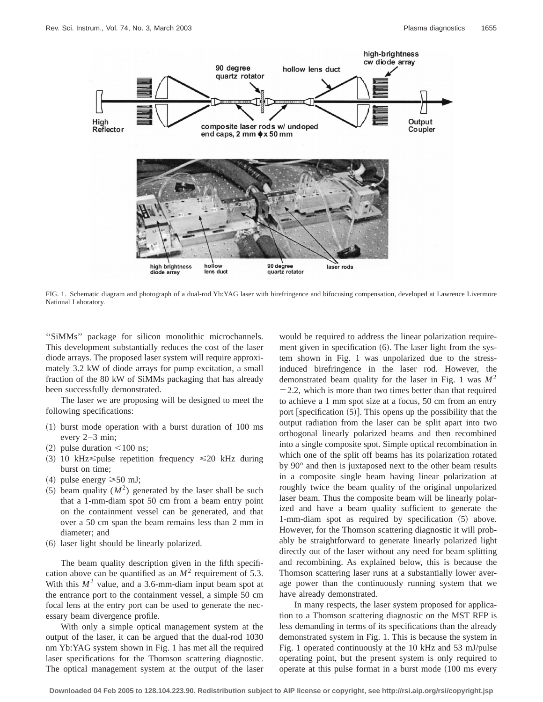

FIG. 1. Schematic diagram and photograph of a dual-rod Yb:YAG laser with birefringence and bifocusing compensation, developed at Lawrence Livermore National Laboratory.

''SiMMs'' package for silicon monolithic microchannels. This development substantially reduces the cost of the laser diode arrays. The proposed laser system will require approximately 3.2 kW of diode arrays for pump excitation, a small fraction of the 80 kW of SiMMs packaging that has already been successfully demonstrated.

The laser we are proposing will be designed to meet the following specifications:

- $(1)$  burst mode operation with a burst duration of 100 ms every 2–3 min;
- $(2)$  pulse duration  $\leq 100$  ns;
- (3) 10 kHz $\leq$ pulse repetition frequency  $\leq$ 20 kHz during burst on time;
- (4) pulse energy  $\geq 50$  mJ;
- $(5)$  beam quality  $(M^2)$  generated by the laser shall be such that a 1-mm-diam spot 50 cm from a beam entry point on the containment vessel can be generated, and that over a 50 cm span the beam remains less than 2 mm in diameter; and
- ~6! laser light should be linearly polarized.

The beam quality description given in the fifth specification above can be quantified as an  $M^2$  requirement of 5.3. With this  $M^2$  value, and a 3.6-mm-diam input beam spot at the entrance port to the containment vessel, a simple 50 cm focal lens at the entry port can be used to generate the necessary beam divergence profile.

With only a simple optical management system at the output of the laser, it can be argued that the dual-rod 1030 nm Yb:YAG system shown in Fig. 1 has met all the required laser specifications for the Thomson scattering diagnostic. The optical management system at the output of the laser would be required to address the linear polarization requirement given in specification  $(6)$ . The laser light from the system shown in Fig. 1 was unpolarized due to the stressinduced birefringence in the laser rod. However, the demonstrated beam quality for the laser in Fig. 1 was *M*<sup>2</sup>  $=$  2.2, which is more than two times better than that required to achieve a 1 mm spot size at a focus, 50 cm from an entry port [specification  $(5)$ ]. This opens up the possibility that the output radiation from the laser can be split apart into two orthogonal linearly polarized beams and then recombined into a single composite spot. Simple optical recombination in which one of the split off beams has its polarization rotated by 90° and then is juxtaposed next to the other beam results in a composite single beam having linear polarization at roughly twice the beam quality of the original unpolarized laser beam. Thus the composite beam will be linearly polarized and have a beam quality sufficient to generate the 1-mm-diam spot as required by specification  $(5)$  above. However, for the Thomson scattering diagnostic it will probably be straightforward to generate linearly polarized light directly out of the laser without any need for beam splitting and recombining. As explained below, this is because the Thomson scattering laser runs at a substantially lower average power than the continuously running system that we have already demonstrated.

In many respects, the laser system proposed for application to a Thomson scattering diagnostic on the MST RFP is less demanding in terms of its specifications than the already demonstrated system in Fig. 1. This is because the system in Fig. 1 operated continuously at the 10 kHz and 53 mJ/pulse operating point, but the present system is only required to operate at this pulse format in a burst mode  $(100 \text{ ms} \text{ every})$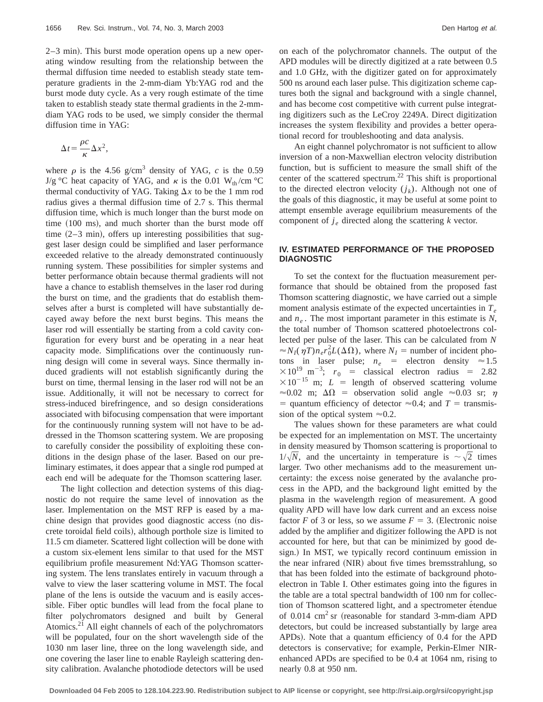$2-3$  min). This burst mode operation opens up a new operating window resulting from the relationship between the thermal diffusion time needed to establish steady state temperature gradients in the 2-mm-diam Yb:YAG rod and the burst mode duty cycle. As a very rough estimate of the time taken to establish steady state thermal gradients in the 2-mmdiam YAG rods to be used, we simply consider the thermal diffusion time in YAG:

$$
\Delta t = \frac{\rho c}{\kappa} \Delta x^2,
$$

where  $\rho$  is the 4.56 g/cm<sup>3</sup> density of YAG, *c* is the 0.59 J/g °C heat capacity of YAG, and  $\kappa$  is the 0.01 W<sub>th</sub>/cm °C thermal conductivity of YAG. Taking  $\Delta x$  to be the 1 mm rod radius gives a thermal diffusion time of 2.7 s. This thermal diffusion time, which is much longer than the burst mode on time  $(100 \text{ ms})$ , and much shorter than the burst mode off time  $(2-3 \text{ min})$ , offers up interesting possibilities that suggest laser design could be simplified and laser performance exceeded relative to the already demonstrated continuously running system. These possibilities for simpler systems and better performance obtain because thermal gradients will not have a chance to establish themselves in the laser rod during the burst on time, and the gradients that do establish themselves after a burst is completed will have substantially decayed away before the next burst begins. This means the laser rod will essentially be starting from a cold cavity configuration for every burst and be operating in a near heat capacity mode. Simplifications over the continuously running design will come in several ways. Since thermally induced gradients will not establish significantly during the burst on time, thermal lensing in the laser rod will not be an issue. Additionally, it will not be necessary to correct for stress-induced birefringence, and so design considerations associated with bifocusing compensation that were important for the continuously running system will not have to be addressed in the Thomson scattering system. We are proposing to carefully consider the possibility of exploiting these conditions in the design phase of the laser. Based on our preliminary estimates, it does appear that a single rod pumped at each end will be adequate for the Thomson scattering laser.

The light collection and detection systems of this diagnostic do not require the same level of innovation as the laser. Implementation on the MST RFP is eased by a machine design that provides good diagnostic access (no discrete toroidal field coils), although porthole size is limited to 11.5 cm diameter. Scattered light collection will be done with a custom six-element lens similar to that used for the MST equilibrium profile measurement Nd:YAG Thomson scattering system. The lens translates entirely in vacuum through a valve to view the laser scattering volume in MST. The focal plane of the lens is outside the vacuum and is easily accessible. Fiber optic bundles will lead from the focal plane to filter polychromators designed and built by General Atomics.<sup>21</sup> All eight channels of each of the polychromators will be populated, four on the short wavelength side of the 1030 nm laser line, three on the long wavelength side, and one covering the laser line to enable Rayleigh scattering density calibration. Avalanche photodiode detectors will be used on each of the polychromator channels. The output of the APD modules will be directly digitized at a rate between 0.5 and 1.0 GHz, with the digitizer gated on for approximately 500 ns around each laser pulse. This digitization scheme captures both the signal and background with a single channel, and has become cost competitive with current pulse integrating digitizers such as the LeCroy 2249A. Direct digitization increases the system flexibility and provides a better operational record for troubleshooting and data analysis.

An eight channel polychromator is not sufficient to allow inversion of a non-Maxwellian electron velocity distribution function, but is sufficient to measure the small shift of the center of the scattered spectrum.<sup>22</sup> This shift is proportional to the directed electron velocity  $(j_k)$ . Although not one of the goals of this diagnostic, it may be useful at some point to attempt ensemble average equilibrium measurements of the component of  $j_e$  directed along the scattering  $k$  vector.

## **IV. ESTIMATED PERFORMANCE OF THE PROPOSED DIAGNOSTIC**

To set the context for the fluctuation measurement performance that should be obtained from the proposed fast Thomson scattering diagnostic, we have carried out a simple moment analysis estimate of the expected uncertainties in  $T_e$ and  $n_e$ . The most important parameter in this estimate is *N*, the total number of Thomson scattered photoelectrons collected per pulse of the laser. This can be calculated from *N*  $\approx N_I(\eta T)n_e r_0^2 L(\Delta\Omega)$ , where  $N_I =$  number of incident photons in laser pulse;  $n_e$  = electron density  $\approx 1.5$  $\times 10^{19}$  m<sup>-3</sup>;  $r_0$  = classical electron radius = 2.82  $\times 10^{-15}$  m; *L* = length of observed scattering volume  $\approx 0.02$  m;  $\Delta \Omega$  = observation solid angle  $\approx 0.03$  sr;  $\eta$ = quantum efficiency of detector  $\approx 0.4$ ; and *T* = transmission of the optical system  $\approx 0.2$ .

The values shown for these parameters are what could be expected for an implementation on MST. The uncertainty in density measured by Thomson scattering is proportional to  $1/\sqrt{N}$ , and the uncertainty in temperature is  $\sim \sqrt{2}$  times larger. Two other mechanisms add to the measurement uncertainty: the excess noise generated by the avalanche process in the APD, and the background light emitted by the plasma in the wavelength region of measurement. A good quality APD will have low dark current and an excess noise factor *F* of 3 or less, so we assume  $F = 3$ . (Electronic noise added by the amplifier and digitizer following the APD is not accounted for here, but that can be minimized by good design.) In MST, we typically record continuum emission in the near infrared (NIR) about five times bremsstrahlung, so that has been folded into the estimate of background photoelectron in Table I. Other estimates going into the figures in the table are a total spectral bandwidth of 100 nm for collection of Thomson scattered light, and a spectrometer etendue of 0.014  $\text{cm}^2$  sr (reasonable for standard 3-mm-diam APD detectors, but could be increased substantially by large area APDs). Note that a quantum efficiency of 0.4 for the APD detectors is conservative; for example, Perkin-Elmer NIRenhanced APDs are specified to be 0.4 at 1064 nm, rising to nearly 0.8 at 950 nm.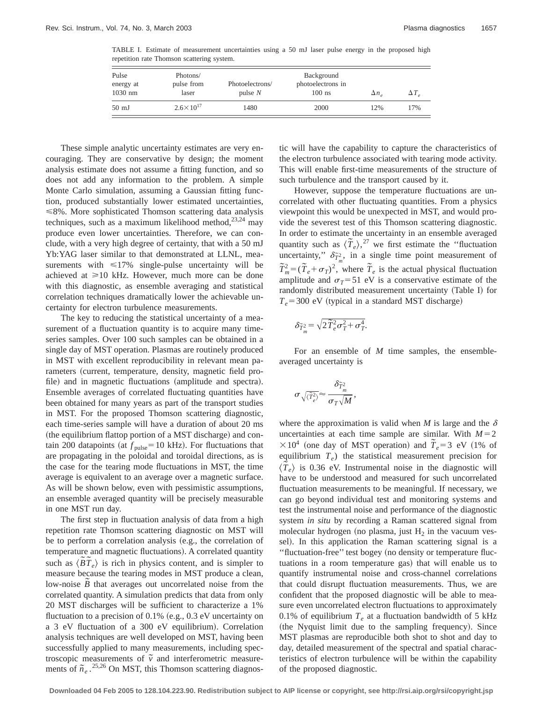TABLE I. Estimate of measurement uncertainties using a 50 mJ laser pulse energy in the proposed high repetition rate Thomson scattering system.

| Pulse<br>energy at<br>$1030$ nm | Photons/<br>pulse from<br>laser | Photoelectrons/<br>pulse $N$ | Background<br>photoelectrons in<br>$100$ ns | $\Delta n_{e}$ | $\Delta T_{\rm g}$ |
|---------------------------------|---------------------------------|------------------------------|---------------------------------------------|----------------|--------------------|
| $50 \text{ mJ}$                 | $2.6 \times 10^{17}$            | 1480                         | 2000                                        | 12%            | 17%                |

These simple analytic uncertainty estimates are very encouraging. They are conservative by design; the moment analysis estimate does not assume a fitting function, and so does not add any information to the problem. A simple Monte Carlo simulation, assuming a Gaussian fitting function, produced substantially lower estimated uncertainties,  $\leq 8\%$ . More sophisticated Thomson scattering data analysis techniques, such as a maximum likelihood method, $23,24$  may produce even lower uncertainties. Therefore, we can conclude, with a very high degree of certainty, that with a 50 mJ Yb:YAG laser similar to that demonstrated at LLNL, measurements with  $\leq 17\%$  single-pulse uncertainty will be achieved at  $\geq 10$  kHz. However, much more can be done with this diagnostic, as ensemble averaging and statistical correlation techniques dramatically lower the achievable uncertainty for electron turbulence measurements.

The key to reducing the statistical uncertainty of a measurement of a fluctuation quantity is to acquire many timeseries samples. Over 100 such samples can be obtained in a single day of MST operation. Plasmas are routinely produced in MST with excellent reproducibility in relevant mean parameters (current, temperature, density, magnetic field profile) and in magnetic fluctuations (amplitude and spectra). Ensemble averages of correlated fluctuating quantities have been obtained for many years as part of the transport studies in MST. For the proposed Thomson scattering diagnostic, each time-series sample will have a duration of about 20 ms (the equilibrium flattop portion of a MST discharge) and contain 200 datapoints (at  $f_{\text{pulse}}=10 \text{ kHz}$ ). For fluctuations that are propagating in the poloidal and toroidal directions, as is the case for the tearing mode fluctuations in MST, the time average is equivalent to an average over a magnetic surface. As will be shown below, even with pessimistic assumptions, an ensemble averaged quantity will be precisely measurable in one MST run day.

The first step in fluctuation analysis of data from a high repetition rate Thomson scattering diagnostic on MST will be to perform a correlation analysis (e.g., the correlation of temperature and magnetic fluctuations). A correlated quantity such as  $\langle \tilde{B} \tilde{T}_e \rangle$  is rich in physics content, and is simpler to measure because the tearing modes in MST produce a clean, low-noise  $\tilde{B}$  that averages out uncorrelated noise from the correlated quantity. A simulation predicts that data from only 20 MST discharges will be sufficient to characterize a 1% fluctuation to a precision of  $0.1\%$  (e.g.,  $0.3$  eV uncertainty on a 3 eV fluctuation of a 300 eV equilibrium). Correlation analysis techniques are well developed on MST, having been successfully applied to many measurements, including spectroscopic measurements of  $\tilde{v}$  and interferometric measurements of  $\tilde{n}_e$ .<sup>25,26</sup> On MST, this Thomson scattering diagnostic will have the capability to capture the characteristics of the electron turbulence associated with tearing mode activity. This will enable first-time measurements of the structure of such turbulence and the transport caused by it.

However, suppose the temperature fluctuations are uncorrelated with other fluctuating quantities. From a physics viewpoint this would be unexpected in MST, and would provide the severest test of this Thomson scattering diagnostic. In order to estimate the uncertainty in an ensemble averaged m order to estimate the uncertainty in an ensemble averaged<br>quantity such as  $\langle \tilde{T}_e \rangle$ ,<sup>27</sup> we first estimate the "fluctuation uncertainty,"  $\delta \tilde{\tau}^2_m$ , in a single time point measurement of  $\widetilde{T}_m^2 = (\widetilde{T}_e + \sigma_T)^2$ , where  $\widetilde{T}_e$  is the actual physical fluctuation amplitude and  $\sigma_T = 51$  eV is a conservative estimate of the randomly distributed measurement uncertainty (Table I) for  $T_e$ =300 eV (typical in a standard MST discharge)

$$
\delta_{\widetilde{T}_m^2} = \sqrt{2\widetilde{T}_e^2\sigma_T^2 + \sigma_T^4}.
$$

For an ensemble of *M* time samples, the ensembleaveraged uncertainty is

$$
\sigma \sqrt{\langle \tilde{T}_e^2 \rangle} \!\!\approx\! \frac{\delta \tilde{T}_m^2}{\sigma_T \sqrt{M}},
$$

where the approximation is valid when *M* is large and the  $\delta$ uncertainties at each time sample are similar. With  $M=2$  $\times 10^4$  (one day of MST operation) and  $\tilde{T}_e = 3$  eV (1% of equilibrium  $T_e$ ) the statistical measurement precision for  $\langle \tilde{T}_e \rangle$  is 0.36 eV. Instrumental noise in the diagnostic will have to be understood and measured for such uncorrelated fluctuation measurements to be meaningful. If necessary, we can go beyond individual test and monitoring systems and test the instrumental noise and performance of the diagnostic system *in situ* by recording a Raman scattered signal from molecular hydrogen (no plasma, just  $H_2$  in the vacuum vessel). In this application the Raman scattering signal is a "fluctuation-free" test bogey (no density or temperature fluctuations in a room temperature gas) that will enable us to quantify instrumental noise and cross-channel correlations that could disrupt fluctuation measurements. Thus, we are confident that the proposed diagnostic will be able to measure even uncorrelated electron fluctuations to approximately 0.1% of equilibrium  $T_e$  at a fluctuation bandwidth of 5 kHz (the Nyquist limit due to the sampling frequency). Since MST plasmas are reproducible both shot to shot and day to day, detailed measurement of the spectral and spatial characteristics of electron turbulence will be within the capability of the proposed diagnostic.